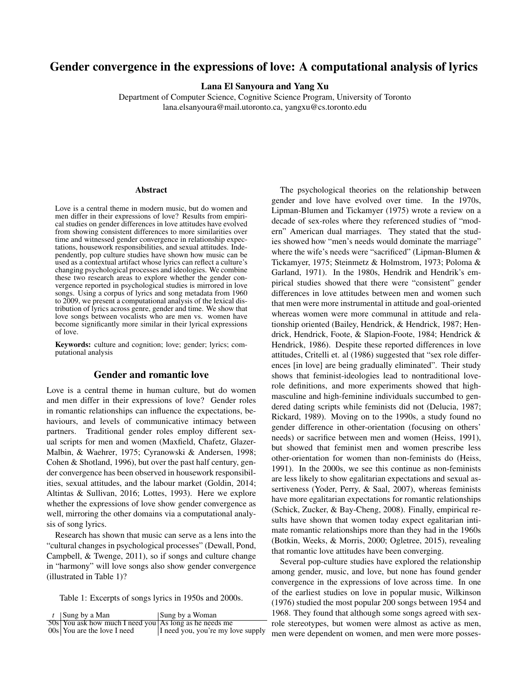# Gender convergence in the expressions of love: A computational analysis of lyrics

Lana El Sanyoura and Yang Xu

Department of Computer Science, Cognitive Science Program, University of Toronto lana.elsanyoura@mail.utoronto.ca, yangxu@cs.toronto.edu

## Abstract

Love is a central theme in modern music, but do women and men differ in their expressions of love? Results from empirical studies on gender differences in love attitudes have evolved from showing consistent differences to more similarities over time and witnessed gender convergence in relationship expectations, housework responsibilities, and sexual attitudes. Independently, pop culture studies have shown how music can be used as a contextual artifact whose lyrics can reflect a culture's changing psychological processes and ideologies. We combine these two research areas to explore whether the gender convergence reported in psychological studies is mirrored in love songs. Using a corpus of lyrics and song metadata from 1960 to 2009, we present a computational analysis of the lexical distribution of lyrics across genre, gender and time. We show that love songs between vocalists who are men vs. women have become significantly more similar in their lyrical expressions of love.

Keywords: culture and cognition; love; gender; lyrics; computational analysis

# Gender and romantic love

Love is a central theme in human culture, but do women and men differ in their expressions of love? Gender roles in romantic relationships can influence the expectations, behaviours, and levels of communicative intimacy between partners. Traditional gender roles employ different sexual scripts for men and women (Maxfield, Chafetz, Glazer-Malbin, & Waehrer, 1975; Cyranowski & Andersen, 1998; Cohen & Shotland, 1996), but over the past half century, gender convergence has been observed in housework responsibilities, sexual attitudes, and the labour market (Goldin, 2014; Altintas & Sullivan, 2016; Lottes, 1993). Here we explore whether the expressions of love show gender convergence as well, mirroring the other domains via a computational analysis of song lyrics.

Research has shown that music can serve as a lens into the "cultural changes in psychological processes" (Dewall, Pond, Campbell, & Twenge, 2011), so if songs and culture change in "harmony" will love songs also show gender convergence (illustrated in Table 1)?

Table 1: Excerpts of songs lyrics in 1950s and 2000s.

| $t$ Sung by a Man                                      | Sung by a Woman                   |
|--------------------------------------------------------|-----------------------------------|
| 50s You ask how much I need you As long as he needs me |                                   |
| $00s$ You are the love I need                          | I need you, you're my love supply |

The psychological theories on the relationship between gender and love have evolved over time. In the 1970s, Lipman-Blumen and Tickamyer (1975) wrote a review on a decade of sex-roles where they referenced studies of "modern" American dual marriages. They stated that the studies showed how "men's needs would dominate the marriage" where the wife's needs were "sacrificed" (Lipman-Blumen & Tickamyer, 1975; Steinmetz & Holmstrom, 1973; Poloma & Garland, 1971). In the 1980s, Hendrik and Hendrik's empirical studies showed that there were "consistent" gender differences in love attitudes between men and women such that men were more instrumental in attitude and goal-oriented whereas women were more communal in attitude and relationship oriented (Bailey, Hendrick, & Hendrick, 1987; Hendrick, Hendrick, Foote, & Slapion-Foote, 1984; Hendrick & Hendrick, 1986). Despite these reported differences in love attitudes, Critelli et. al (1986) suggested that "sex role differences [in love] are being gradually eliminated". Their study shows that feminist-ideologies lead to nontraditional loverole definitions, and more experiments showed that highmasculine and high-feminine individuals succumbed to gendered dating scripts while feminists did not (Delucia, 1987; Rickard, 1989). Moving on to the 1990s, a study found no gender difference in other-orientation (focusing on others' needs) or sacrifice between men and women (Heiss, 1991), but showed that feminist men and women prescribe less other-orientation for women than non-feminists do (Heiss, 1991). In the 2000s, we see this continue as non-feminists are less likely to show egalitarian expectations and sexual assertiveness (Yoder, Perry, & Saal, 2007), whereas feminists have more egalitarian expectations for romantic relationships (Schick, Zucker, & Bay-Cheng, 2008). Finally, empirical results have shown that women today expect egalitarian intimate romantic relationships more than they had in the 1960s (Botkin, Weeks, & Morris, 2000; Ogletree, 2015), revealing that romantic love attitudes have been converging.

Several pop-culture studies have explored the relationship among gender, music, and love, but none has found gender convergence in the expressions of love across time. In one of the earliest studies on love in popular music, Wilkinson (1976) studied the most popular 200 songs between 1954 and 1968. They found that although some songs agreed with sexrole stereotypes, but women were almost as active as men, men were dependent on women, and men were more posses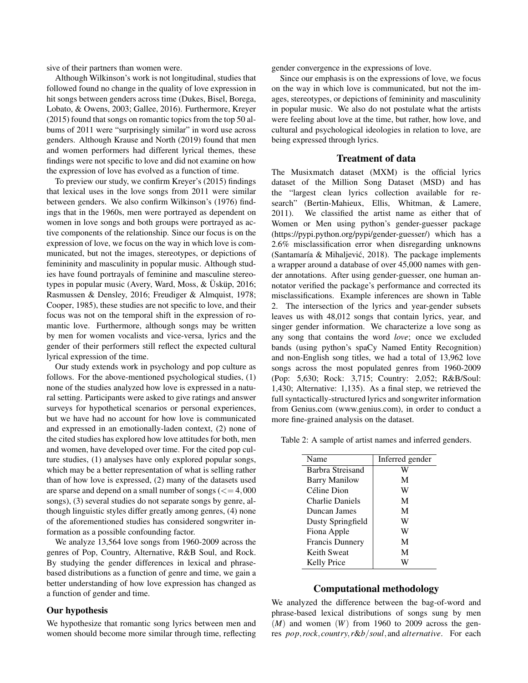sive of their partners than women were.

Although Wilkinson's work is not longitudinal, studies that followed found no change in the quality of love expression in hit songs between genders across time (Dukes, Bisel, Borega, Lobato, & Owens, 2003; Gallee, 2016). Furthermore, Kreyer (2015) found that songs on romantic topics from the top 50 albums of 2011 were "surprisingly similar" in word use across genders. Although Krause and North (2019) found that men and women performers had different lyrical themes, these findings were not specific to love and did not examine on how the expression of love has evolved as a function of time.

To preview our study, we confirm Kreyer's (2015) findings that lexical uses in the love songs from 2011 were similar between genders. We also confirm Wilkinson's (1976) findings that in the 1960s, men were portrayed as dependent on women in love songs and both groups were portrayed as active components of the relationship. Since our focus is on the expression of love, we focus on the way in which love is communicated, but not the images, stereotypes, or depictions of femininity and masculinity in popular music. Although studies have found portrayals of feminine and masculine stereotypes in popular music (Avery, Ward, Moss,  $& Üskip, 2016;$ Rasmussen & Densley, 2016; Freudiger & Almquist, 1978; Cooper, 1985), these studies are not specific to love, and their focus was not on the temporal shift in the expression of romantic love. Furthermore, although songs may be written by men for women vocalists and vice-versa, lyrics and the gender of their performers still reflect the expected cultural lyrical expression of the time.

Our study extends work in psychology and pop culture as follows. For the above-mentioned psychological studies, (1) none of the studies analyzed how love is expressed in a natural setting. Participants were asked to give ratings and answer surveys for hypothetical scenarios or personal experiences, but we have had no account for how love is communicated and expressed in an emotionally-laden context, (2) none of the cited studies has explored how love attitudes for both, men and women, have developed over time. For the cited pop culture studies, (1) analyses have only explored popular songs, which may be a better representation of what is selling rather than of how love is expressed, (2) many of the datasets used are sparse and depend on a small number of songs  $\left( \leq 4,000 \right)$ songs), (3) several studies do not separate songs by genre, although linguistic styles differ greatly among genres, (4) none of the aforementioned studies has considered songwriter information as a possible confounding factor.

We analyze 13,564 love songs from 1960-2009 across the genres of Pop, Country, Alternative, R&B Soul, and Rock. By studying the gender differences in lexical and phrasebased distributions as a function of genre and time, we gain a better understanding of how love expression has changed as a function of gender and time.

#### Our hypothesis

We hypothesize that romantic song lyrics between men and women should become more similar through time, reflecting gender convergence in the expressions of love.

Since our emphasis is on the expressions of love, we focus on the way in which love is communicated, but not the images, stereotypes, or depictions of femininity and masculinity in popular music. We also do not postulate what the artists were feeling about love at the time, but rather, how love, and cultural and psychological ideologies in relation to love, are being expressed through lyrics.

#### Treatment of data

The Musixmatch dataset (MXM) is the official lyrics dataset of the Million Song Dataset (MSD) and has the "largest clean lyrics collection available for research" (Bertin-Mahieux, Ellis, Whitman, & Lamere, 2011). We classified the artist name as either that of Women or Men using python's gender-guesser package (https://pypi.python.org/pypi/gender-guesser/) which has a 2.6% misclassification error when disregarding unknowns (Santamaría & Mihaljević, 2018). The package implements a wrapper around a database of over 45,000 names with gender annotations. After using gender-guesser, one human annotator verified the package's performance and corrected its misclassifications. Example inferences are shown in Table 2. The intersection of the lyrics and year-gender subsets leaves us with 48,012 songs that contain lyrics, year, and singer gender information. We characterize a love song as any song that contains the word *love*; once we excluded bands (using python's spaCy Named Entity Recognition) and non-English song titles, we had a total of 13,962 love songs across the most populated genres from 1960-2009 (Pop: 5,630; Rock: 3,715; Country: 2,052; R&B/Soul: 1,430; Alternative: 1,135). As a final step, we retrieved the full syntactically-structured lyrics and songwriter information from Genius.com (www.genius.com), in order to conduct a more fine-grained analysis on the dataset.

Table 2: A sample of artist names and inferred genders.

| Name                   | Inferred gender |
|------------------------|-----------------|
| Barbra Streisand       |                 |
| <b>Barry Manilow</b>   | М               |
| Céline Dion            | W               |
| <b>Charlie Daniels</b> | М               |
| Duncan James           | М               |
| Dusty Springfield      | W               |
| Fiona Apple            | W               |
| <b>Francis Dunnery</b> | М               |
| Keith Sweat            | М               |
| Kelly Price            |                 |

#### Computational methodology

We analyzed the difference between the bag-of-word and phrase-based lexical distributions of songs sung by men  $(M)$  and women  $(W)$  from 1960 to 2009 across the genres *pop*,*rock*, *country*,*r*&*b*/*soul*, and *alternative*. For each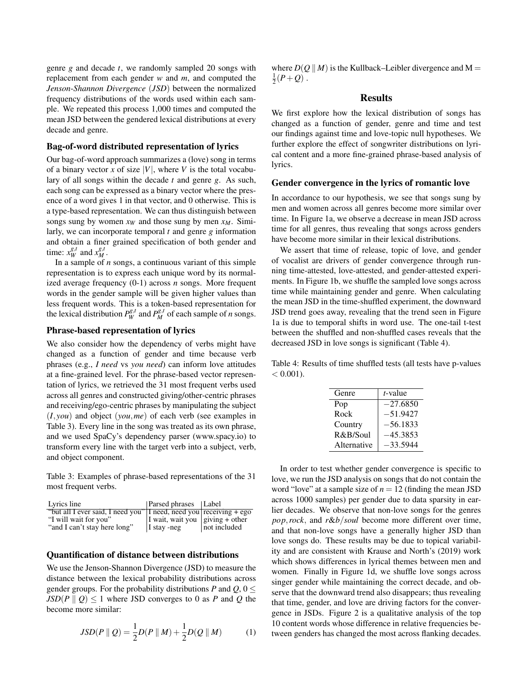genre *g* and decade *t*, we randomly sampled 20 songs with replacement from each gender *w* and *m*, and computed the *Jenson*-*Shannon Divergence* (*JSD*) between the normalized frequency distributions of the words used within each sample. We repeated this process 1,000 times and computed the mean JSD between the gendered lexical distributions at every decade and genre.

## Bag-of-word distributed representation of lyrics

Our bag-of-word approach summarizes a (love) song in terms of a binary vector *x* of size  $|V|$ , where *V* is the total vocabulary of all songs within the decade *t* and genre *g*. As such, each song can be expressed as a binary vector where the presence of a word gives 1 in that vector, and 0 otherwise. This is a type-based representation. We can thus distinguish between songs sung by women  $x_W$  and those sung by men  $x_M$ . Similarly, we can incorporate temporal *t* and genre *g* information and obtain a finer grained specification of both gender and time:  $x_W^{g,t}$  and  $x_M^{g,t}$ .

In a sample of *n* songs, a continuous variant of this simple representation is to express each unique word by its normalized average frequency (0-1) across *n* songs. More frequent words in the gender sample will be given higher values than less frequent words. This is a token-based representation for the lexical distribution  $P_W^{g,t}$  and  $P_M^{g,t}$  of each sample of *n* songs.

# Phrase-based representation of lyrics

We also consider how the dependency of verbs might have changed as a function of gender and time because verb phrases (e.g., *I need* vs *you need*) can inform love attitudes at a fine-grained level. For the phrase-based vector representation of lyrics, we retrieved the 31 most frequent verbs used across all genres and constructed giving/other-centric phrases and receiving/ego-centric phrases by manipulating the subject (*I*, *you*) and object (*you*,*me*) of each verb (see examples in Table 3). Every line in the song was treated as its own phrase, and we used SpaCy's dependency parser (www.spacy.io) to transform every line with the target verb into a subject, verb, and object component.

Table 3: Examples of phrase-based representations of the 31 most frequent verbs.

| Lyrics line                                                        | Parsed phrases Label                    |              |
|--------------------------------------------------------------------|-----------------------------------------|--------------|
| "but all I ever said, I need you" I need, need you receiving + ego |                                         |              |
| "I will wait for you"                                              | I wait, wait you $\vert$ giving + other |              |
| "and I can't stay here long"                                       | $\vert$ I stay -neg                     | not included |

### Quantification of distance between distributions

We use the Jenson-Shannon Divergence (JSD) to measure the distance between the lexical probability distributions across gender groups. For the probability distributions *P* and  $Q$ ,  $0 \leq$  $JSD(P || Q) \leq 1$  where JSD converges to 0 as *P* and *Q* the become more similar:

$$
JSD(P \| Q) = \frac{1}{2}D(P \| M) + \frac{1}{2}D(Q \| M)
$$
 (1)

where  $D(O \parallel M)$  is the Kullback–Leibler divergence and M =  $\frac{1}{2}(P+Q)$ .

### **Results**

We first explore how the lexical distribution of songs has changed as a function of gender, genre and time and test our findings against time and love-topic null hypotheses. We further explore the effect of songwriter distributions on lyrical content and a more fine-grained phrase-based analysis of lyrics.

#### Gender convergence in the lyrics of romantic love

In accordance to our hypothesis, we see that songs sung by men and women across all genres become more similar over time. In Figure 1a, we observe a decrease in mean JSD across time for all genres, thus revealing that songs across genders have become more similar in their lexical distributions.

We assert that time of release, topic of love, and gender of vocalist are drivers of gender convergence through running time-attested, love-attested, and gender-attested experiments. In Figure 1b, we shuffle the sampled love songs across time while maintaining gender and genre. When calculating the mean JSD in the time-shuffled experiment, the downward JSD trend goes away, revealing that the trend seen in Figure 1a is due to temporal shifts in word use. The one-tail t-test between the shuffled and non-shuffled cases reveals that the decreased JSD in love songs is significant (Table 4).

Table 4: Results of time shuffled tests (all tests have p-values  $< 0.001$ ).

| Genre       | <i>t</i> -value |
|-------------|-----------------|
| Pop         | $-27.6850$      |
| Rock        | $-51.9427$      |
| Country     | $-56.1833$      |
| R&B/Soul    | $-45.3853$      |
| Alternative | $-33.5944$      |

In order to test whether gender convergence is specific to love, we run the JSD analysis on songs that do not contain the word "love" at a sample size of  $n = 12$  (finding the mean JSD across 1000 samples) per gender due to data sparsity in earlier decades. We observe that non-love songs for the genres *pop*,*rock*, and *r*&*b*/*soul* become more different over time, and that non-love songs have a generally higher JSD than love songs do. These results may be due to topical variability and are consistent with Krause and North's (2019) work which shows differences in lyrical themes between men and women. Finally in Figure 1d, we shuffle love songs across singer gender while maintaining the correct decade, and observe that the downward trend also disappears; thus revealing that time, gender, and love are driving factors for the convergence in JSDs. Figure 2 is a qualitative analysis of the top 10 content words whose difference in relative frequencies between genders has changed the most across flanking decades.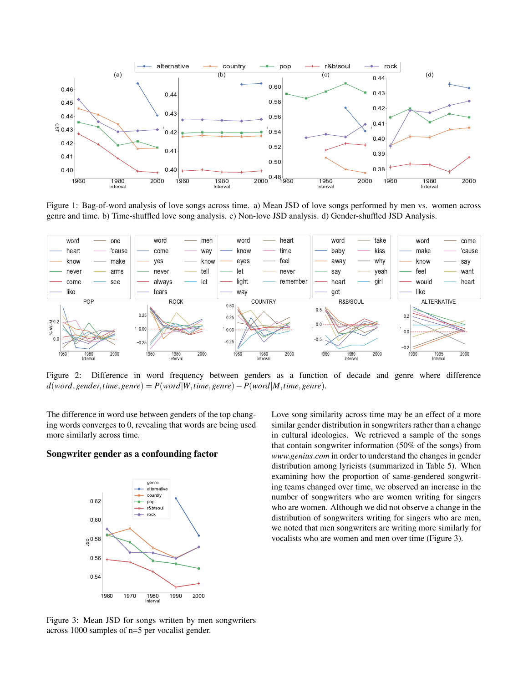

Figure 1: Bag-of-word analysis of love songs across time. a) Mean JSD of love songs performed by men vs. women across genre and time. b) Time-shuffled love song analysis. c) Non-love JSD analysis. d) Gender-shuffled JSD Analysis.



Figure 2: Difference in word frequency between genders as a function of decade and genre where difference *d*(*word*,*gender*,*time*,*genre*) = *P*(*word*|*W*,*time*,*genre*)−*P*(*word*|*M*,*time*,*genre*).

The difference in word use between genders of the top changing words converges to 0, revealing that words are being used more similarly across time.

# Songwriter gender as a confounding factor



Love song similarity across time may be an effect of a more similar gender distribution in songwriters rather than a change in cultural ideologies. We retrieved a sample of the songs that contain songwriter information (50% of the songs) from *www*.*genius*.*com* in order to understand the changes in gender distribution among lyricists (summarized in Table 5). When examining how the proportion of same-gendered songwriting teams changed over time, we observed an increase in the number of songwriters who are women writing for singers who are women. Although we did not observe a change in the distribution of songwriters writing for singers who are men, we noted that men songwriters are writing more similarly for vocalists who are women and men over time (Figure 3).

Figure 3: Mean JSD for songs written by men songwriters across 1000 samples of n=5 per vocalist gender.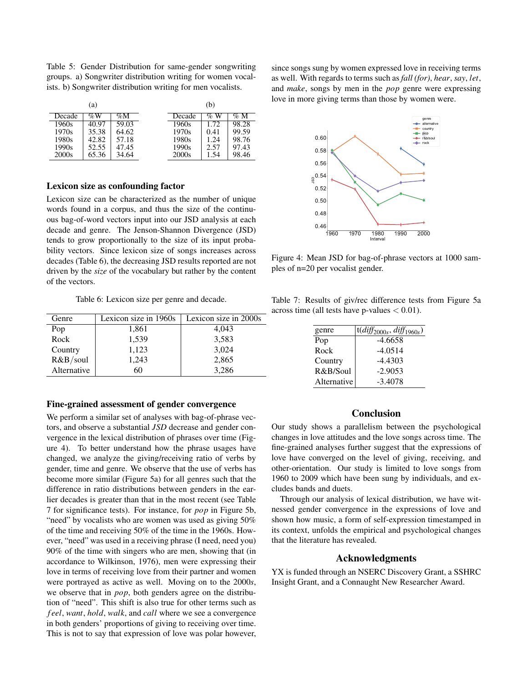Table 5: Gender Distribution for same-gender songwriting groups. a) Songwriter distribution writing for women vocalists. b) Songwriter distribution writing for men vocalists.

|        | (a)   |        |        | (b)    |        |
|--------|-------|--------|--------|--------|--------|
| Decade | $\%W$ | $\%$ M | Decade | $\%$ W | $\%$ M |
| 1960s  | 40.97 | 59.03  | 1960s  | 1.72   | 98.28  |
| 1970s  | 35.38 | 64.62  | 1970s  | 0.41   | 99.59  |
| 1980s  | 42.82 | 57.18  | 1980s  | 1.24   | 98.76  |
| 1990s  | 52.55 | 47.45  | 1990s  | 2.57   | 97.43  |
| 2000s  | 65.36 | 34.64  | 2000s  | 1.54   | 98.46  |

#### Lexicon size as confounding factor

Lexicon size can be characterized as the number of unique words found in a corpus, and thus the size of the continuous bag-of-word vectors input into our JSD analysis at each decade and genre. The Jenson-Shannon Divergence (JSD) tends to grow proportionally to the size of its input probability vectors. Since lexicon size of songs increases across decades (Table 6), the decreasing JSD results reported are not driven by the *size* of the vocabulary but rather by the content of the vectors.

Table 6: Lexicon size per genre and decade.

| Genre       | Lexicon size in 1960s | Lexicon size in 2000s |  |
|-------------|-----------------------|-----------------------|--|
| Pop         | 1,861                 | 4,043                 |  |
| Rock        | 1,539                 | 3,583                 |  |
| Country     | 1,123                 | 3,024                 |  |
| R&B/soul    | 1,243                 | 2,865                 |  |
| Alternative | 60                    | 3,286                 |  |

#### Fine-grained assessment of gender convergence

We perform a similar set of analyses with bag-of-phrase vectors, and observe a substantial *JSD* decrease and gender convergence in the lexical distribution of phrases over time (Figure 4). To better understand how the phrase usages have changed, we analyze the giving/receiving ratio of verbs by gender, time and genre. We observe that the use of verbs has become more similar (Figure 5a) for all genres such that the difference in ratio distributions between genders in the earlier decades is greater than that in the most recent (see Table 7 for significance tests). For instance, for *pop* in Figure 5b, "need" by vocalists who are women was used as giving 50% of the time and receiving 50% of the time in the 1960s. However, "need" was used in a receiving phrase (I need, need you) 90% of the time with singers who are men, showing that (in accordance to Wilkinson, 1976), men were expressing their love in terms of receiving love from their partner and women were portrayed as active as well. Moving on to the 2000*s*, we observe that in *pop*, both genders agree on the distribution of "need". This shift is also true for other terms such as *f eel*, *want*, *hold*, *walk*, and *call* where we see a convergence in both genders' proportions of giving to receiving over time. This is not to say that expression of love was polar however, since songs sung by women expressed love in receiving terms as well. With regards to terms such as *fall (for)*, *hear*, *say*, *let*, and *make*, songs by men in the *pop* genre were expressing love in more giving terms than those by women were.



Figure 4: Mean JSD for bag-of-phrase vectors at 1000 samples of n=20 per vocalist gender.

Table 7: Results of giv/rec difference tests from Figure 5a across time (all tests have p-values  $< 0.01$ ).

| genre       | $t$ ( <i>diff</i> <sub>2000s</sub> , <i>diff</i> <sub>1960s</sub> ) |
|-------------|---------------------------------------------------------------------|
| Pop         | $-4.6658$                                                           |
| Rock        | $-4.0514$                                                           |
| Country     | $-4.4303$                                                           |
| R&B/Soul    | $-2.9053$                                                           |
| Alternative | $-3.4078$                                                           |
|             |                                                                     |

# Conclusion

Our study shows a parallelism between the psychological changes in love attitudes and the love songs across time. The fine-grained analyses further suggest that the expressions of love have converged on the level of giving, receiving, and other-orientation. Our study is limited to love songs from 1960 to 2009 which have been sung by individuals, and excludes bands and duets.

Through our analysis of lexical distribution, we have witnessed gender convergence in the expressions of love and shown how music, a form of self-expression timestamped in its context, unfolds the empirical and psychological changes that the literature has revealed.

#### Acknowledgments

YX is funded through an NSERC Discovery Grant, a SSHRC Insight Grant, and a Connaught New Researcher Award.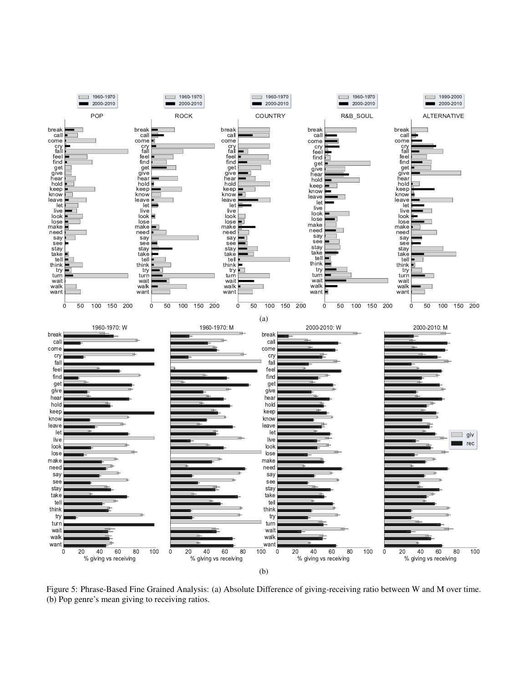

Figure 5: Phrase-Based Fine Grained Analysis: (a) Absolute Difference of giving-receiving ratio between W and M over time. (b) Pop genre's mean giving to receiving ratios.